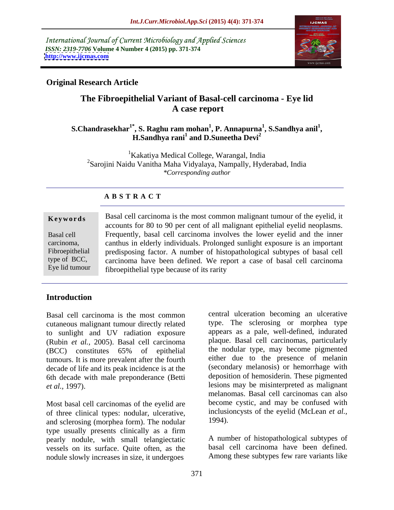International Journal of Current Microbiology and Applied Sciences *ISSN: 2319-7706* **Volume 4 Number 4 (2015) pp. 371-374 <http://www.ijcmas.com>**



# **Original Research Article**

# **The Fibroepithelial Variant of Basal-cell carcinoma - Eye lid A case report**

### **S.Chandrasekhar1\* , S. Raghu ram mohan<sup>1</sup> , P. Annapurna<sup>1</sup> , S.Sandhya anil<sup>1</sup> , H.Sandhya rani<sup>1</sup> and D.Suneetha Devi<sup>2</sup> and D.Suneetha Devi<sup>2</sup>**

<sup>1</sup>Kakatiya Medical College, Warangal, India 2Sarojini Naidu Vanitha Maha Vidyalaya, Nampally, Hyderabad, India *\*Corresponding author*

## **A B S T R A C T**

### **Keywords** Basal cell carcinoma is the most common malignant tumour of the eyelid, it accounts for 80 to 90 per cent of all malignant epithelial eyelid neoplasms. Frequently, basal cell carcinoma involves the lower eyelid and the inner Basal cell carcinoma, canthus in elderly individuals. Prolonged sunlight exposure is an important Fibroepithelial predisposing factor. A number of histopathological subtypes of basal cell type of BCC, carcinoma have been defined. We report a case of basal cell carcinoma fibroepithelial type because of its rarity Eye lid tumour

# **Introduction**

Basal cell carcinoma is the most common cutaneous malignant tumour directly related to sunlight and UV radiation exposure (Rubin *et al.*, 2005). Basal cell carcinoma tumours. It is more prevalent after the fourth decade of life and its peak incidence is at the 6th decade with male preponderance (Betti

of three clinical types: nodular, ulcerative,<br>and sclerosing (morphea form) The nodular 1994). and sclerosing (morphea form). The nodular type usually presents clinically as a firm pearly nodule, with small telangiectatic vessels on its surface. Quite often, as the nodule slowly increases in size, it undergoes

(BCC) constitutes 65% of epithelial the nodular type, may become pigmented *et al.*, 1997).<br> **exists** may be misinterpreted as malignant<br>
melanomas. Basal cell carcinomas can also<br>
Most basal cell carcinomas of the eyelid are<br>
become cystic, and may be confused with central ulceration becoming an ulcerative type. The sclerosing or morphea type appears as a pale, well-defined, indurated plaque. Basal cell carcinomas, particularly the nodular type, may become pigmented either due to the presence of melanin (secondary melanosis) or hemorrhage with deposition of hemosiderin. These pigmented lesions may be misinterpreted as malignant melanomas. Basal cell carcinomas can also become cystic, and may be confused with inclusioncysts of the eyelid (McLean *et al.,* 1994).

> A number of histopathological subtypes of basal cell carcinoma have been defined. Among these subtypes few rare variants like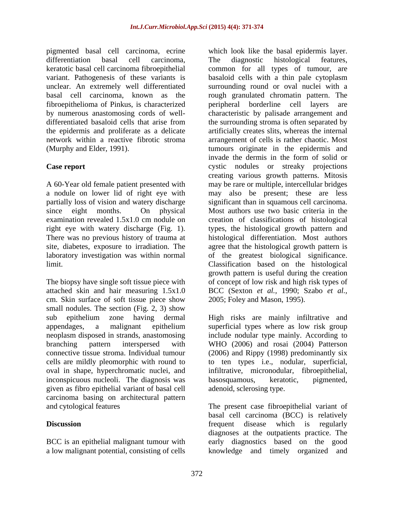pigmented basal cell carcinoma, ecrine fibroepithelioma of Pinkus, is characterized network within a reactive fibrotic stroma

The biopsy have single soft tissue piece with attached skin and hair measuring 1.5x1.0 cm. Skin surface of soft tissue piece show 2005; Foley and Mason, 1995). small nodules. The section (Fig. 2, 3) show sub epithelium zone having dermal High risks are mainly infiltrative and cells are mildly pleomorphic with round to oval in shape, hyperchromatic nuclei, and inconspicuous nucleoli. The diagnosis was basosquamous, keratotic, pigmented, given as fibro epithelial variant of basal cell carcinoma basing on architectural pattern

differentiation basal cell carcinoma, keratotic basal cell carcinoma fibroepithelial common for all types of tumour, are variant. Pathogenesis of these variants is basaloid cells with a thin pale cytoplasm unclear. An extremely well differentiated surrounding round or oval nuclei with a basal cell carcinoma, known as the rough granulated chromatin pattern. The by numerous anastomosing cords of well- characteristic by palisade arrangement and differentiated basaloid cells that arise from the surrounding stroma is often separated by the epidermis and proliferate as a delicate artificially creates slits, whereas the internal (Murphy and Elder, 1991). tumours originate in the epidermis and **Case report** cystic nodules or streaky projections A 60-Year old female patient presented with may be rare or multiple, intercellular bridges a nodule on lower lid of right eye with may also be present; these are less partially loss of vision and watery discharge significant than in squamous cell carcinoma. since eight months. On physical Most authors use two basic criteria in the examination revealed 1.5x1.0 cm nodule on creation of classifications of histological right eye with watery discharge (Fig. 1). types, the histological growth pattern and<br>There was no previous history of trauma at histological differentiation. Most authors site, diabetes, exposure to irradiation. The agree that the histological growth pattern is laboratory investigation was within normal of the greatest biological significance. limit. Classification based on the histological which look like the basal epidermis layer. The diagnostic histological features, peripheral borderline cell layers arrangement of cells is rather chaotic. Most invade the dermis in the form of solid or creating various growth patterns. Mitosis types, the histological growth pattern and histological differentiation. Most authors growth pattern is useful during the creation of concept of low risk and high risk types of BCC (Sexton *et al.,* 1990; Szabo *et al.,*

appendages, a malignant epithelium superficial types where as low risk group neoplasm disposed in strands, anastomosing include nodular type mainly. According to branching pattern interspersed with WHO (2006) and rosai (2004) Patterson connective tissue stroma. Individual tumour (2006) and Rippy (1998) predominantly six 2005; Foley and Mason, 1995). High risks are mainly infiltrative and to ten types i.e., nodular, superficial, infiltrative, micronodular, fibroepithelial, basosquamous, keratotic, pigmented, adenoid, sclerosing type.

and cytological features The present case fibroepithelial variant of **Discussion Example 3 CO Example 3 CO EXECUTE: EXECUTE: EXECUTE: EXECUTE: EXECUTE: EXECUTE: EXECUTE: EXECUTE: EXECUTE: EXECUTE: EXECUTE: EXECUTE: EXECUTE: EXECUTE: EXECUTE: EXECUTE:** BCC is an epithelial malignant tumour with early diagnostics based on the good a low malignant potential, consisting of cells knowledge and timely organized andbasal cell carcinoma (BCC) is relatively frequent disease which is regularly diagnoses at the outpatients practice. The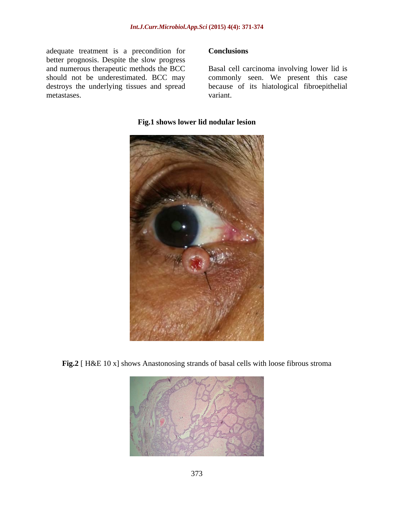adequate treatment is a precondition for **Conclusions** better prognosis. Despite the slow progress<br>and numerous therapeutic methods the BCC and numerous therapeutic methods the BCC Basal cell carcinoma involving lower lid is should not be underestimated. BCC may commonly seen. We present this case destroys the underlying tissues and spread because of its hiatological fibroepithelial metastases. variant.

### **Conclusions**

variant.



### **Fig.1 shows lower lid nodular lesion**

**Fig.2** [ H&E 10 x] shows Anastonosing strands of basal cells with loose fibrous stroma